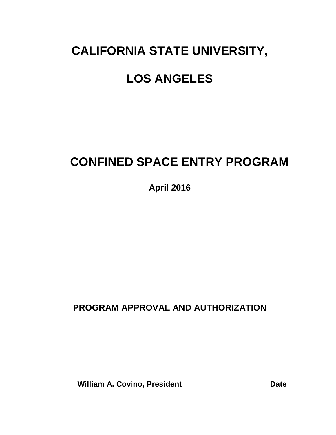# **CALIFORNIA STATE UNIVERSITY,**

# **LOS ANGELES**

### **CONFINED SPACE ENTRY PROGRAM**

**April 2016**

**PROGRAM APPROVAL AND AUTHORIZATION**

**William A. Covino, President Date**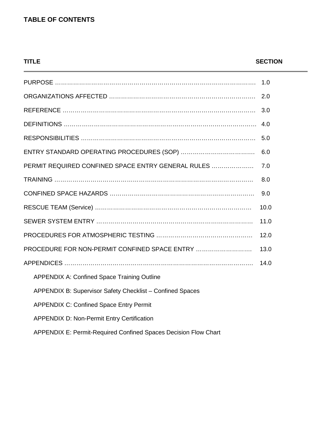### **TABLE OF CONTENTS**

|                                                                 | 1.0  |
|-----------------------------------------------------------------|------|
|                                                                 | 2.0  |
|                                                                 | 3.0  |
|                                                                 | 4.0  |
|                                                                 | 5.0  |
|                                                                 | 6.0  |
| PERMIT REQUIRED CONFINED SPACE ENTRY GENERAL RULES              | 7.0  |
|                                                                 | 8.0  |
|                                                                 | 9.0  |
|                                                                 | 10.0 |
|                                                                 | 11.0 |
|                                                                 | 12.0 |
| PROCEDURE FOR NON-PERMIT CONFINED SPACE ENTRY                   | 13.0 |
|                                                                 | 14.0 |
| APPENDIX A: Confined Space Training Outline                     |      |
| APPENDIX B: Supervisor Safety Checklist - Confined Spaces       |      |
| <b>APPENDIX C: Confined Space Entry Permit</b>                  |      |
| <b>APPENDIX D: Non-Permit Entry Certification</b>               |      |
| APPENDIX E: Permit-Required Confined Spaces Decision Flow Chart |      |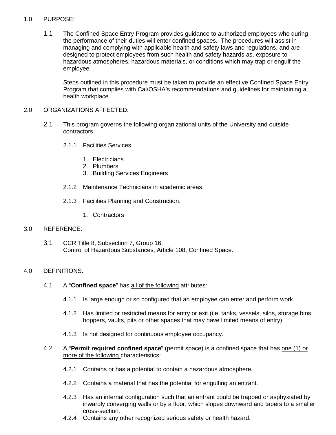### 1.0 PURPOSE:

1.1 The Confined Space Entry Program provides guidance to authorized employees who during the performance of their duties will enter confined spaces. The procedures will assist in managing and complying with applicable health and safety laws and regulations, and are designed to protect employees from such health and safety hazards as, exposure to hazardous atmospheres, hazardous materials, or conditions which may trap or engulf the employee.

Steps outlined in this procedure must be taken to provide an effective Confined Space Entry Program that complies with Cal/OSHA's recommendations and guidelines for maintaining a health workplace.

#### 2.0 ORGANIZATIONS AFFECTED:

- 2.1 This program governs the following organizational units of the University and outside contractors.
	- 2.1.1 Facilities Services.
		- 1. Electricians
		- 2. Plumbers
		- 3. Building Services Engineers
	- 2.1.2 Maintenance Technicians in academic areas.
	- 2.1.3 Facilities Planning and Construction.
		- 1. Contractors

#### 3.0 REFERENCE:

3.1 CCR Title 8, Subsection 7, Group 16. Control of Hazardous Substances, Article 108, Confined Space.

#### 4.0 DEFINITIONS:

- 4.1 A "**Confined space**" has all of the following attributes:
	- 4.1.1 Is large enough or so configured that an employee can enter and perform work.
	- 4.1.2 Has limited or restricted means for entry or exit (i.e. tanks, vessels, silos, storage bins, hoppers, vaults, pits or other spaces that may have limited means of entry).
	- 4.1.3 Is not designed for continuous employee occupancy.
- 4.2 A "**Permit required confined space**" (permit space) is a confined space that has one (1) or more of the following characteristics:
	- 4.2.1 Contains or has a potential to contain a hazardous atmosphere.
	- 4.2.2 Contains a material that has the potential for engulfing an entrant.
	- 4.2.3 Has an internal configuration such that an entrant could be trapped or asphyxiated by inwardly converging walls or by a floor, which slopes downward and tapers to a smaller cross-section.
	- 4.2.4 Contains any other recognized serious safety or health hazard.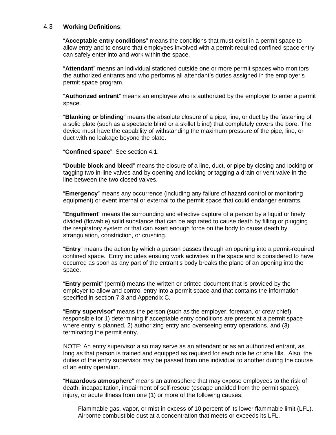#### 4.3 **Working Definitions**:

"**Acceptable entry conditions**" means the conditions that must exist in a permit space to allow entry and to ensure that employees involved with a permit-required confined space entry can safely enter into and work within the space.

"**Attendant**" means an individual stationed outside one or more permit spaces who monitors the authorized entrants and who performs all attendant's duties assigned in the employer's permit space program.

"**Authorized entrant**" means an employee who is authorized by the employer to enter a permit space.

"**Blanking or blinding**" means the absolute closure of a pipe, line, or duct by the fastening of a solid plate (such as a spectacle blind or a skillet blind) that completely covers the bore. The device must have the capability of withstanding the maximum pressure of the pipe, line, or duct with no leakage beyond the plate.

"**Confined space**". See section 4.1.

"**Double block and bleed**" means the closure of a line, duct, or pipe by closing and locking or tagging two in-line valves and by opening and locking or tagging a drain or vent valve in the line between the two closed valves.

"**Emergency**" means any occurrence (including any failure of hazard control or monitoring equipment) or event internal or external to the permit space that could endanger entrants.

"**Engulfment**" means the surrounding and effective capture of a person by a liquid or finely divided (flowable) solid substance that can be aspirated to cause death by filling or plugging the respiratory system or that can exert enough force on the body to cause death by strangulation, constriction, or crushing.

"**Entry**" means the action by which a person passes through an opening into a permit-required confined space. Entry includes ensuing work activities in the space and is considered to have occurred as soon as any part of the entrant's body breaks the plane of an opening into the space.

"**Entry permit**" (permit) means the written or printed document that is provided by the employer to allow and control entry into a permit space and that contains the information specified in section 7.3 and Appendix C.

"**Entry supervisor**" means the person (such as the employer, foreman, or crew chief) responsible for 1) determining if acceptable entry conditions are present at a permit space where entry is planned, 2) authorizing entry and overseeing entry operations, and (3) terminating the permit entry.

NOTE: An entry supervisor also may serve as an attendant or as an authorized entrant, as long as that person is trained and equipped as required for each role he or she fills. Also, the duties of the entry supervisor may be passed from one individual to another during the course of an entry operation.

"**Hazardous atmosphere**" means an atmosphere that may expose employees to the risk of death, incapacitation, impairment of self-rescue (escape unaided from the permit space), injury, or acute illness from one (1) or more of the following causes:

Flammable gas, vapor, or mist in excess of 10 percent of its lower flammable limit (LFL). Airborne combustible dust at a concentration that meets or exceeds its LFL.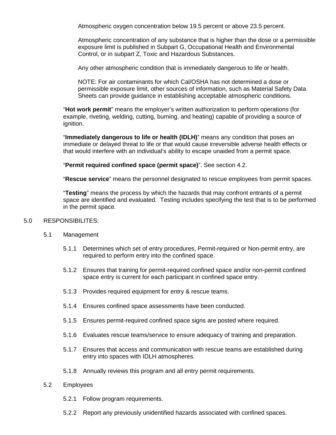Atmospheric oxygen concentration below 19.5 percent or above 23.5 percent.

Atmospheric concentration of any substance that is higher than the dose or a permissible exposure limit is published in Subpart G, Occupational Health and Environmental Control, or in subpart Z, Toxic and Hazardous Substances.

Any other atmospheric condition that is immediately dangerous to life or health.

NOTE: For air contaminants for which Cal/OSHA has not determined a dose or permissible exposure limit, other sources of information, such as Material Safety Data Sheets can provide guidance in establishing acceptable atmospheric conditions.

"**Hot work permit**" means the employer's written authorization to perform operations (for example, riveting, welding, cutting, burning, and heating) capable of providing a source of ignition.

"**Immediately dangerous to life or health (IDLH)**" means any condition that poses an immediate or delayed threat to life or that would cause irreversible adverse health effects or that would interfere with an individual's ability to escape unaided from a permit space.

"**Permit required confined space (permit space)**". See section 4.2.

"**Rescue service**" means the personnel designated to rescue employees from permit spaces.

"**Testing**" means the process by which the hazards that may confront entrants of a permit space are identified and evaluated. Testing includes specifying the test that is to be performed in the permit space.

#### 5.0 RESPONSIBILITES:

- 5.1 Management
	- 5.1.1 Determines which set of entry procedures, Permit-required or Non-permit entry, are required to perform entry into the confined space.
	- 5.1.2 Ensures that training for permit-required confined space and/or non-permit confined space entry is current for each participant in confined space entry.
	- 5.1.3 Provides required equipment for entry & rescue teams.
	- 5.1.4 Ensures confined space assessments have been conducted.
	- 5.1.5 Ensures permit-required confined space signs are posted where required.
	- 5.1.6 Evaluates rescue teams/service to ensure adequacy of training and preparation.
	- 5.1.7 Ensures that access and communication with rescue teams are established during entry into spaces with IDLH atmospheres.
	- 5.1.8 Annually reviews this program and all entry permit requirements.

#### 5.2 Employees

- 5.2.1 Follow program requirements.
- 5.2.2 Report any previously unidentified hazards associated with confined spaces.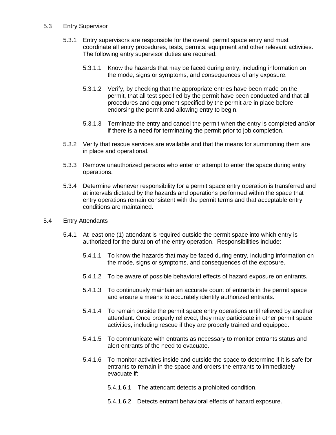- 5.3 Entry Supervisor
	- 5.3.1 Entry supervisors are responsible for the overall permit space entry and must coordinate all entry procedures, tests, permits, equipment and other relevant activities. The following entry supervisor duties are required:
		- 5.3.1.1 Know the hazards that may be faced during entry, including information on the mode, signs or symptoms, and consequences of any exposure.
		- 5.3.1.2 Verify, by checking that the appropriate entries have been made on the permit, that all test specified by the permit have been conducted and that all procedures and equipment specified by the permit are in place before endorsing the permit and allowing entry to begin.
		- 5.3.1.3 Terminate the entry and cancel the permit when the entry is completed and/or if there is a need for terminating the permit prior to job completion.
	- 5.3.2 Verify that rescue services are available and that the means for summoning them are in place and operational.
	- 5.3.3 Remove unauthorized persons who enter or attempt to enter the space during entry operations.
	- 5.3.4 Determine whenever responsibility for a permit space entry operation is transferred and at intervals dictated by the hazards and operations performed within the space that entry operations remain consistent with the permit terms and that acceptable entry conditions are maintained.
- 5.4 Entry Attendants
	- 5.4.1 At least one (1) attendant is required outside the permit space into which entry is authorized for the duration of the entry operation. Responsibilities include:
		- 5.4.1.1 To know the hazards that may be faced during entry, including information on the mode, signs or symptoms, and consequences of the exposure.
		- 5.4.1.2 To be aware of possible behavioral effects of hazard exposure on entrants.
		- 5.4.1.3 To continuously maintain an accurate count of entrants in the permit space and ensure a means to accurately identify authorized entrants.
		- 5.4.1.4 To remain outside the permit space entry operations until relieved by another attendant. Once properly relieved, they may participate in other permit space activities, including rescue if they are properly trained and equipped.
		- 5.4.1.5 To communicate with entrants as necessary to monitor entrants status and alert entrants of the need to evacuate.
		- 5.4.1.6 To monitor activities inside and outside the space to determine if it is safe for entrants to remain in the space and orders the entrants to immediately evacuate if:
			- 5.4.1.6.1 The attendant detects a prohibited condition.
			- 5.4.1.6.2 Detects entrant behavioral effects of hazard exposure.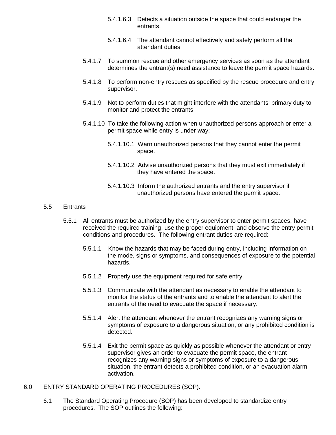- 5.4.1.6.3 Detects a situation outside the space that could endanger the entrants.
- 5.4.1.6.4 The attendant cannot effectively and safely perform all the attendant duties.
- 5.4.1.7 To summon rescue and other emergency services as soon as the attendant determines the entrant(s) need assistance to leave the permit space hazards.
- 5.4.1.8 To perform non-entry rescues as specified by the rescue procedure and entry supervisor.
- 5.4.1.9 Not to perform duties that might interfere with the attendants' primary duty to monitor and protect the entrants.
- 5.4.1.10 To take the following action when unauthorized persons approach or enter a permit space while entry is under way:
	- 5.4.1.10.1 Warn unauthorized persons that they cannot enter the permit space.
	- 5.4.1.10.2 Advise unauthorized persons that they must exit immediately if they have entered the space.
	- 5.4.1.10.3 Inform the authorized entrants and the entry supervisor if unauthorized persons have entered the permit space.
- 5.5 Entrants
	- 5.5.1 All entrants must be authorized by the entry supervisor to enter permit spaces, have received the required training, use the proper equipment, and observe the entry permit conditions and procedures. The following entrant duties are required:
		- 5.5.1.1 Know the hazards that may be faced during entry, including information on the mode, signs or symptoms, and consequences of exposure to the potential hazards.
		- 5.5.1.2 Properly use the equipment required for safe entry.
		- 5.5.1.3 Communicate with the attendant as necessary to enable the attendant to monitor the status of the entrants and to enable the attendant to alert the entrants of the need to evacuate the space if necessary.
		- 5.5.1.4 Alert the attendant whenever the entrant recognizes any warning signs or symptoms of exposure to a dangerous situation, or any prohibited condition is detected.
		- 5.5.1.4 Exit the permit space as quickly as possible whenever the attendant or entry supervisor gives an order to evacuate the permit space, the entrant recognizes any warning signs or symptoms of exposure to a dangerous situation, the entrant detects a prohibited condition, or an evacuation alarm activation.
- 6.0 ENTRY STANDARD OPERATING PROCEDURES (SOP):
	- 6.1 The Standard Operating Procedure (SOP) has been developed to standardize entry procedures. The SOP outlines the following: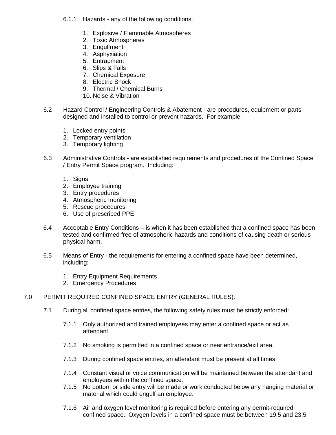- 6.1.1 Hazards any of the following conditions:
	- 1. Explosive / Flammable Atmospheres
	- 2. Toxic Atmospheres
	- 3. Engulfment
	- 4. Asphyxiation
	- 5. Entrapment
	- 6. Slips & Falls
	- 7. Chemical Exposure
	- 8. Electric Shock
	- 9. Thermal / Chemical Burns
	- 10. Noise & Vibration
- 6.2 Hazard Control / Engineering Controls & Abatement are procedures, equipment or parts designed and installed to control or prevent hazards. For example:
	- 1. Locked entry points
	- 2. Temporary ventilation
	- 3. Temporary lighting
- 6.3 Administrative Controls are established requirements and procedures of the Confined Space / Entry Permit Space program. Including:
	- 1. Signs
	- 2. Employee training
	- 3. Entry procedures
	- 4. Atmospheric monitoring
	- 5. Rescue procedures
	- 6. Use of prescribed PPE
- 6.4 Acceptable Entry Conditions is when it has been established that a confined space has been tested and confirmed free of atmospheric hazards and conditions of causing death or serious physical harm.
- 6.5 Means of Entry the requirements for entering a confined space have been determined, including:
	- 1. Entry Equipment Requirements
	- 2. Emergency Procedures
- 7.0 PERMIT REQUIRED CONFINED SPACE ENTRY (GENERAL RULES):
	- 7.1 During all confined space entries, the following safety rules must be strictly enforced:
		- 7.1.1 Only authorized and trained employees may enter a confined space or act as attendant.
		- 7.1.2 No smoking is permitted in a confined space or near entrance/exit area.
		- 7.1.3 During confined space entries, an attendant must be present at all times.
		- 7.1.4 Constant visual or voice communication will be maintained between the attendant and employees within the confined space.
		- 7.1.5 No bottom or side entry will be made or work conducted below any hanging material or material which could engulf an employee.
		- 7.1.6 Air and oxygen level monitoring is required before entering any permit-required confined space. Oxygen levels in a confined space must be between 19.5 and 23.5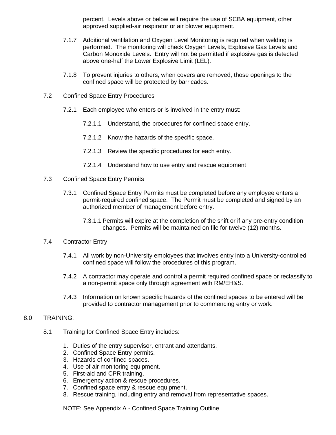percent. Levels above or below will require the use of SCBA equipment, other approved supplied-air respirator or air blower equipment.

- 7.1.7 Additional ventilation and Oxygen Level Monitoring is required when welding is performed. The monitoring will check Oxygen Levels, Explosive Gas Levels and Carbon Monoxide Levels. Entry will not be permitted if explosive gas is detected above one-half the Lower Explosive Limit (LEL).
- 7.1.8 To prevent injuries to others, when covers are removed, those openings to the confined space will be protected by barricades.
- 7.2 Confined Space Entry Procedures
	- 7.2.1 Each employee who enters or is involved in the entry must:
		- 7.2.1.1 Understand, the procedures for confined space entry.
		- 7.2.1.2 Know the hazards of the specific space.
		- 7.2.1.3 Review the specific procedures for each entry.
		- 7.2.1.4 Understand how to use entry and rescue equipment
- 7.3 Confined Space Entry Permits
	- 7.3.1 Confined Space Entry Permits must be completed before any employee enters a permit-required confined space. The Permit must be completed and signed by an authorized member of management before entry.
		- 7.3.1.1 Permits will expire at the completion of the shift or if any pre-entry condition changes. Permits will be maintained on file for twelve (12) months.
- 7.4 Contractor Entry
	- 7.4.1 All work by non-University employees that involves entry into a University-controlled confined space will follow the procedures of this program.
	- 7.4.2 A contractor may operate and control a permit required confined space or reclassify to a non-permit space only through agreement with RM/EH&S.
	- 7.4.3 Information on known specific hazards of the confined spaces to be entered will be provided to contractor management prior to commencing entry or work.

#### 8.0 TRAINING:

- 8.1 Training for Confined Space Entry includes:
	- 1. Duties of the entry supervisor, entrant and attendants.
	- 2. Confined Space Entry permits.
	- 3. Hazards of confined spaces.
	- 4. Use of air monitoring equipment.
	- 5. First-aid and CPR training.
	- 6. Emergency action & rescue procedures.
	- 7. Confined space entry & rescue equipment.
	- 8. Rescue training, including entry and removal from representative spaces.

NOTE: See Appendix A - Confined Space Training Outline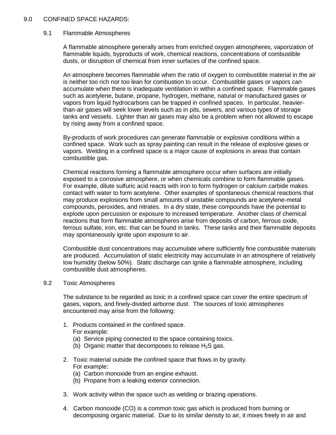#### 9.0 CONFINED SPACE HAZARDS:

#### 9.1 Flammable Atmospheres

A flammable atmosphere generally arises from enriched oxygen atmospheres, vaporization of flammable liquids, byproducts of work, chemical reactions, concentrations of combustible dusts, or disruption of chemical from inner surfaces of the confined space.

An atmosphere becomes flammable when the ratio of oxygen to combustible material in the air is neither too rich nor too lean for combustion to occur. Combustible gases or vapors can accumulate when there is inadequate ventilation in within a confined space. Flammable gases such as acetylene, butane, propane, hydrogen, methane, natural or manufactured gases or vapors from liquid hydrocarbons can be trapped in confined spaces. In particular, heavierthan-air gases will seek lower levels such as in pits, sewers, and various types of storage tanks and vessels. Lighter than air gases may also be a problem when not allowed to escape by rising away from a confined space.

By-products of work procedures can generate flammable or explosive conditions within a confined space. Work such as spray painting can result in the release of explosive gases or vapors. Welding in a confined space is a major cause of explosions in areas that contain combustible gas.

Chemical reactions forming a flammable atmosphere occur when surfaces are initially exposed to a corrosive atmosphere, or when chemicals combine to form flammable gases. For example, dilute sulfuric acid reacts with iron to form hydrogen or calcium carbide makes contact with water to form acetylene. Other examples of spontaneous chemical reactions that may produce explosions from small amounts of unstable compounds are acetylene-metal compounds, peroxides, and nitrates. In a dry state, these compounds have the potential to explode upon percussion or exposure to increased temperature. Another class of chemical reactions that form flammable atmospheres arise from deposits of carbon, ferrous oxide, ferrous sulfate, iron, etc. that can be found in tanks. These tanks and their flammable deposits may spontaneously ignite upon exposure to air.

Combustible dust concentrations may accumulate where sufficiently fine combustible materials are produced. Accumulation of static electricity may accumulate in an atmosphere of relatively low humidity (below 50%). Static discharge can ignite a flammable atmosphere, including combustible dust atmospheres.

#### 9.2 Toxic Atmospheres

The substance to be regarded as toxic in a confined space can cover the entire spectrum of gases, vapors, and finely-divided airborne dust. The sources of toxic atmospheres encountered may arise from the following:

- 1. Products contained in the confined space.
	- For example:
	- (a) Service piping connected to the space containing toxics.
	- (b) Organic matter that decomposes to release  $H_2S$  gas.
- 2. Toxic material outside the confined space that flows in by gravity. For example:
	- (a) Carbon monoxide from an engine exhaust.
	- (b) Propane from a leaking exterior connection.
- 3. Work activity within the space such as welding or brazing operations.
- 4. Carbon monoxide (CO) is a common toxic gas which is produced from burning or decomposing organic material. Due to its similar density to air, it mixes freely in air and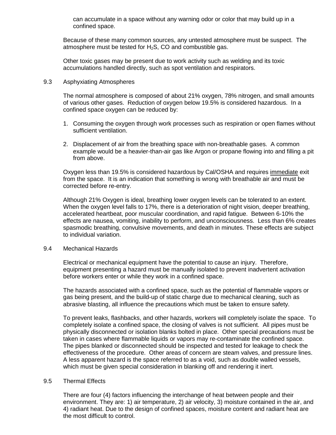can accumulate in a space without any warning odor or color that may build up in a confined space.

Because of these many common sources, any untested atmosphere must be suspect. The atmosphere must be tested for  $H_2S$ , CO and combustible gas.

Other toxic gases may be present due to work activity such as welding and its toxic accumulations handled directly, such as spot ventilation and respirators.

#### 9.3 Asphyxiating Atmospheres

The normal atmosphere is composed of about 21% oxygen, 78% nitrogen, and small amounts of various other gases. Reduction of oxygen below 19.5% is considered hazardous. In a confined space oxygen can be reduced by:

- 1. Consuming the oxygen through work processes such as respiration or open flames without sufficient ventilation.
- 2. Displacement of air from the breathing space with non-breathable gases. A common example would be a heavier-than-air gas like Argon or propane flowing into and filling a pit from above.

Oxygen less than 19.5% is considered hazardous by Cal/OSHA and requires immediate exit from the space. It is an indication that something is wrong with breathable air and must be corrected before re-entry.

Although 21% Oxygen is ideal, breathing lower oxygen levels can be tolerated to an extent. When the oxygen level falls to 17%, there is a deterioration of night vision, deeper breathing, accelerated heartbeat, poor muscular coordination, and rapid fatigue. Between 6-10% the effects are nausea, vomiting, inability to perform, and unconsciousness. Less than 6% creates spasmodic breathing, convulsive movements, and death in minutes. These effects are subject to individual variation.

#### 9.4 Mechanical Hazards

Electrical or mechanical equipment have the potential to cause an injury. Therefore, equipment presenting a hazard must be manually isolated to prevent inadvertent activation before workers enter or while they work in a confined space.

The hazards associated with a confined space, such as the potential of flammable vapors or gas being present, and the build-up of static charge due to mechanical cleaning, such as abrasive blasting, all influence the precautions which must be taken to ensure safety.

To prevent leaks, flashbacks, and other hazards, workers will completely isolate the space. To completely isolate a confined space, the closing of valves is not sufficient. All pipes must be physically disconnected or isolation blanks bolted in place. Other special precautions must be taken in cases where flammable liquids or vapors may re-contaminate the confined space. The pipes blanked or disconnected should be inspected and tested for leakage to check the effectiveness of the procedure. Other areas of concern are steam valves, and pressure lines. A less apparent hazard is the space referred to as a void, such as double walled vessels, which must be given special consideration in blanking off and rendering it inert.

#### 9.5 Thermal Effects

There are four (4) factors influencing the interchange of heat between people and their environment. They are: 1) air temperature, 2) air velocity, 3) moisture contained in the air, and 4) radiant heat. Due to the design of confined spaces, moisture content and radiant heat are the most difficult to control.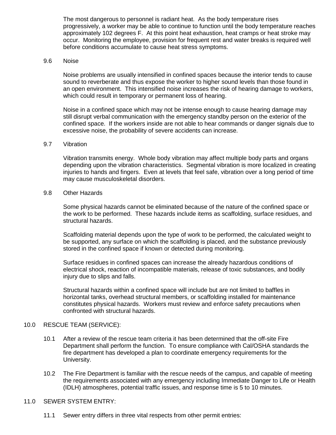The most dangerous to personnel is radiant heat. As the body temperature rises progressively, a worker may be able to continue to function until the body temperature reaches approximately 102 degrees F. At this point heat exhaustion, heat cramps or heat stroke may occur. Monitoring the employee, provision for frequent rest and water breaks is required well before conditions accumulate to cause heat stress symptoms.

#### 9.6 Noise

Noise problems are usually intensified in confined spaces because the interior tends to cause sound to reverberate and thus expose the worker to higher sound levels than those found in an open environment. This intensified noise increases the risk of hearing damage to workers, which could result in temporary or permanent loss of hearing.

Noise in a confined space which may not be intense enough to cause hearing damage may still disrupt verbal communication with the emergency standby person on the exterior of the confined space. If the workers inside are not able to hear commands or danger signals due to excessive noise, the probability of severe accidents can increase.

#### 9.7 Vibration

Vibration transmits energy. Whole body vibration may affect multiple body parts and organs depending upon the vibration characteristics. Segmental vibration is more localized in creating injuries to hands and fingers. Even at levels that feel safe, vibration over a long period of time may cause musculoskeletal disorders.

#### 9.8 Other Hazards

Some physical hazards cannot be eliminated because of the nature of the confined space or the work to be performed. These hazards include items as scaffolding, surface residues, and structural hazards.

Scaffolding material depends upon the type of work to be performed, the calculated weight to be supported, any surface on which the scaffolding is placed, and the substance previously stored in the confined space if known or detected during monitoring.

Surface residues in confined spaces can increase the already hazardous conditions of electrical shock, reaction of incompatible materials, release of toxic substances, and bodily injury due to slips and falls.

Structural hazards within a confined space will include but are not limited to baffles in horizontal tanks, overhead structural members, or scaffolding installed for maintenance constitutes physical hazards. Workers must review and enforce safety precautions when confronted with structural hazards.

#### 10.0 RESCUE TEAM (SERVICE):

- 10.1 After a review of the rescue team criteria it has been determined that the off-site Fire Department shall perform the function. To ensure compliance with Cal/OSHA standards the fire department has developed a plan to coordinate emergency requirements for the University.
- 10.2 The Fire Department is familiar with the rescue needs of the campus, and capable of meeting the requirements associated with any emergency including Immediate Danger to Life or Health (IDLH) atmospheres, potential traffic issues, and response time is 5 to 10 minutes.

#### 11.0 SEWER SYSTEM ENTRY:

11.1 Sewer entry differs in three vital respects from other permit entries: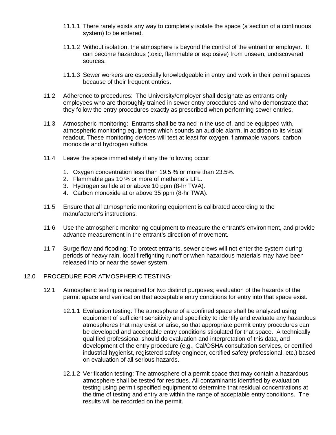- 11.1.1 There rarely exists any way to completely isolate the space (a section of a continuous system) to be entered.
- 11.1.2 Without isolation, the atmosphere is beyond the control of the entrant or employer. It can become hazardous (toxic, flammable or explosive) from unseen, undiscovered sources.
- 11.1.3 Sewer workers are especially knowledgeable in entry and work in their permit spaces because of their frequent entries.
- 11.2 Adherence to procedures: The University/employer shall designate as entrants only employees who are thoroughly trained in sewer entry procedures and who demonstrate that they follow the entry procedures exactly as prescribed when performing sewer entries.
- 11.3 Atmospheric monitoring: Entrants shall be trained in the use of, and be equipped with, atmospheric monitoring equipment which sounds an audible alarm, in addition to its visual readout. These monitoring devices will test at least for oxygen, flammable vapors, carbon monoxide and hydrogen sulfide.
- 11.4 Leave the space immediately if any the following occur:
	- 1. Oxygen concentration less than 19.5 % or more than 23.5%.
	- 2. Flammable gas 10 % or more of methane's LFL.
	- 3. Hydrogen sulfide at or above 10 ppm (8-hr TWA).
	- 4. Carbon monoxide at or above 35 ppm (8-hr TWA).
- 11.5 Ensure that all atmospheric monitoring equipment is calibrated according to the manufacturer's instructions.
- 11.6 Use the atmospheric monitoring equipment to measure the entrant's environment, and provide advance measurement in the entrant's direction of movement.
- 11.7 Surge flow and flooding: To protect entrants, sewer crews will not enter the system during periods of heavy rain, local firefighting runoff or when hazardous materials may have been released into or near the sewer system.

#### 12.0 PROCEDURE FOR ATMOSPHERIC TESTING:

- 12.1 Atmospheric testing is required for two distinct purposes; evaluation of the hazards of the permit apace and verification that acceptable entry conditions for entry into that space exist.
	- 12.1.1 Evaluation testing: The atmosphere of a confined space shall be analyzed using equipment of sufficient sensitivity and specificity to identify and evaluate any hazardous atmospheres that may exist or arise, so that appropriate permit entry procedures can be developed and acceptable entry conditions stipulated for that space. A technically qualified professional should do evaluation and interpretation of this data, and development of the entry procedure (e.g., Cal/OSHA consultation services, or certified industrial hygienist, registered safety engineer, certified safety professional, etc.) based on evaluation of all serious hazards.
	- 12.1.2 Verification testing: The atmosphere of a permit space that may contain a hazardous atmosphere shall be tested for residues. All contaminants identified by evaluation testing using permit specified equipment to determine that residual concentrations at the time of testing and entry are within the range of acceptable entry conditions. The results will be recorded on the permit.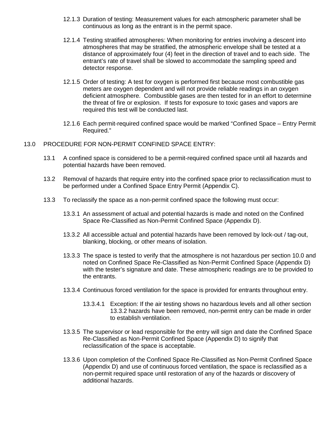- 12.1.3 Duration of testing: Measurement values for each atmospheric parameter shall be continuous as long as the entrant is in the permit space.
- 12.1.4 Testing stratified atmospheres: When monitoring for entries involving a descent into atmospheres that may be stratified, the atmospheric envelope shall be tested at a distance of approximately four (4) feet in the direction of travel and to each side. The entrant's rate of travel shall be slowed to accommodate the sampling speed and detector response.
- 12.1.5 Order of testing: A test for oxygen is performed first because most combustible gas meters are oxygen dependent and will not provide reliable readings in an oxygen deficient atmosphere. Combustible gases are then tested for in an effort to determine the threat of fire or explosion. If tests for exposure to toxic gases and vapors are required this test will be conducted last.
- 12.1.6 Each permit-required confined space would be marked "Confined Space Entry Permit Required."
- 13.0 PROCEDURE FOR NON-PERMIT CONFINED SPACE ENTRY:
	- 13.1 A confined space is considered to be a permit-required confined space until all hazards and potential hazards have been removed.
	- 13.2 Removal of hazards that require entry into the confined space prior to reclassification must to be performed under a Confined Space Entry Permit (Appendix C).
	- 13.3 To reclassify the space as a non-permit confined space the following must occur:
		- 13.3.1 An assessment of actual and potential hazards is made and noted on the Confined Space Re-Classified as Non-Permit Confined Space (Appendix D).
		- 13.3.2 All accessible actual and potential hazards have been removed by lock-out / tag-out, blanking, blocking, or other means of isolation.
		- 13.3.3 The space is tested to verify that the atmosphere is not hazardous per section 10.0 and noted on Confined Space Re-Classified as Non-Permit Confined Space (Appendix D) with the tester's signature and date. These atmospheric readings are to be provided to the entrants.
		- 13.3.4 Continuous forced ventilation for the space is provided for entrants throughout entry.
			- 13.3.4.1 Exception: If the air testing shows no hazardous levels and all other section 13.3.2 hazards have been removed, non-permit entry can be made in order to establish ventilation.
		- 13.3.5 The supervisor or lead responsible for the entry will sign and date the Confined Space Re-Classified as Non-Permit Confined Space (Appendix D) to signify that reclassification of the space is acceptable.
		- 13.3.6 Upon completion of the Confined Space Re-Classified as Non-Permit Confined Space (Appendix D) and use of continuous forced ventilation, the space is reclassified as a non-permit required space until restoration of any of the hazards or discovery of additional hazards.